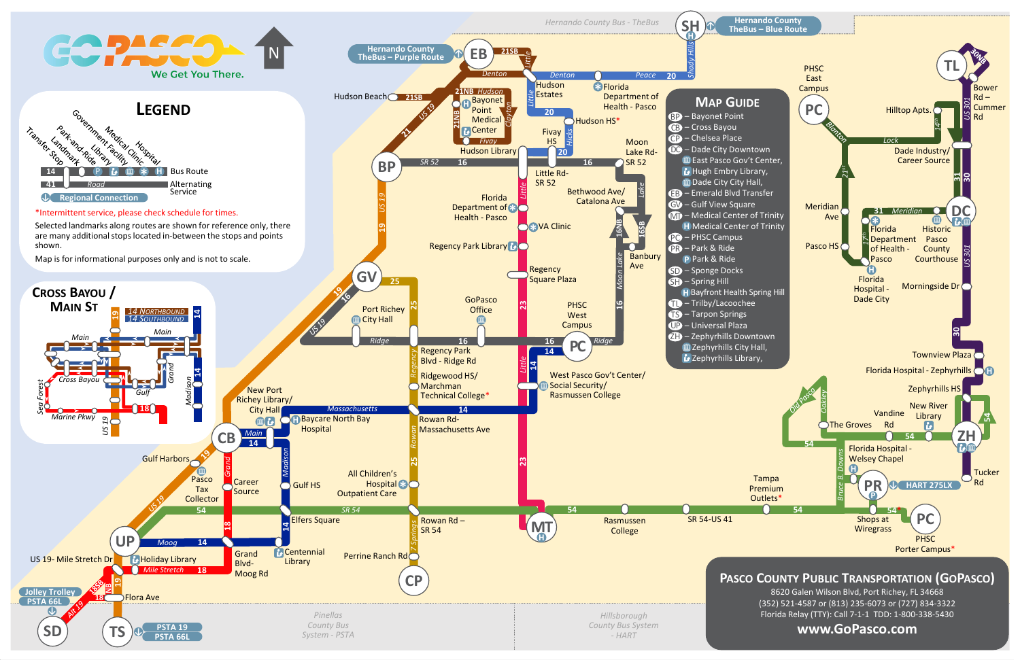